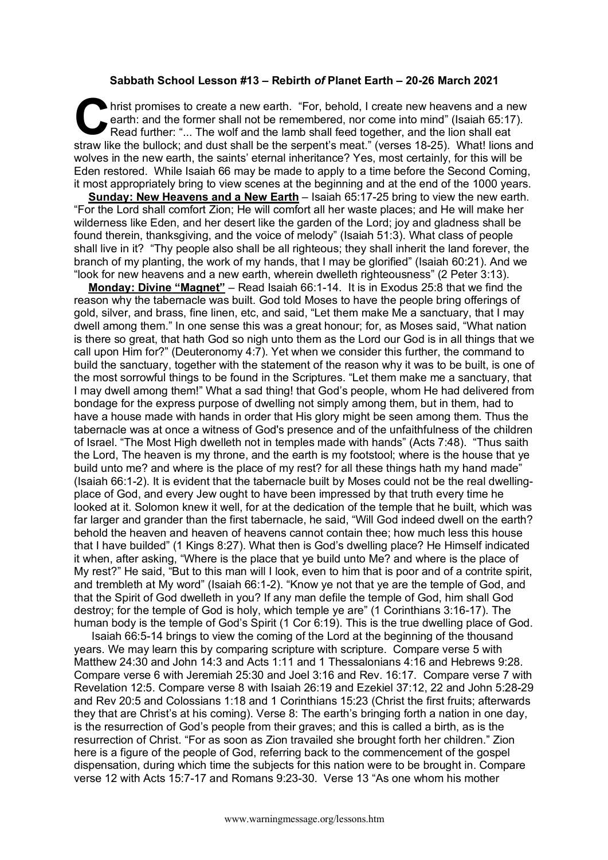## **Sabbath School Lesson #13 – Rebirth** *of* **Planet Earth – 20-26 March 2021**

hrist promises to create a new earth. "For, behold, I create new heavens and a new earth: and the former shall not be remembered, nor come into mind" (Isaiah 65:17). Read further: "... The wolf and the lamb shall feed together, and the lion shall eat hrist promises to create a new earth. "For, behold, I create new heavens and a new earth: and the former shall not be remembered, nor come into mind" (Isaiah 65:17). Read further: "... The wolf and the lamb shall feed toge wolves in the new earth, the saints' eternal inheritance? Yes, most certainly, for this will be Eden restored. While Isaiah 66 may be made to apply to a time before the Second Coming, it most appropriately bring to view scenes at the beginning and at the end of the 1000 years.

**Sunday: New Heavens and a New Earth** – Isaiah 65:17-25 bring to view the new earth. "For the Lord shall comfort Zion; He will comfort all her waste places; and He will make her wilderness like Eden, and her desert like the garden of the Lord; joy and gladness shall be found therein, thanksgiving, and the voice of melody" (Isaiah 51:3). What class of people shall live in it? "Thy people also shall be all righteous; they shall inherit the land forever, the branch of my planting, the work of my hands, that I may be glorified" (Isaiah 60:21). And we "look for new heavens and a new earth, wherein dwelleth righteousness" (2 Peter 3:13).

**Monday: Divine "Magnet"** – Read Isaiah 66:1-14. It is in Exodus 25:8 that we find the reason why the tabernacle was built. God told Moses to have the people bring offerings of gold, silver, and brass, fine linen, etc, and said, "Let them make Me a sanctuary, that I may dwell among them." In one sense this was a great honour; for, as Moses said, "What nation is there so great, that hath God so nigh unto them as the Lord our God is in all things that we call upon Him for?" (Deuteronomy 4:7). Yet when we consider this further, the command to build the sanctuary, together with the statement of the reason why it was to be built, is one of the most sorrowful things to be found in the Scriptures. "Let them make me a sanctuary, that I may dwell among them!" What a sad thing! that God's people, whom He had delivered from bondage for the express purpose of dwelling not simply among them, but in them, had to have a house made with hands in order that His glory might be seen among them. Thus the tabernacle was at once a witness of God's presence and of the unfaithfulness of the children of Israel. "The Most High dwelleth not in temples made with hands" (Acts 7:48). "Thus saith the Lord, The heaven is my throne, and the earth is my footstool; where is the house that ye build unto me? and where is the place of my rest? for all these things hath my hand made" (Isaiah 66:1-2). It is evident that the tabernacle built by Moses could not be the real dwellingplace of God, and every Jew ought to have been impressed by that truth every time he looked at it. Solomon knew it well, for at the dedication of the temple that he built, which was far larger and grander than the first tabernacle, he said, "Will God indeed dwell on the earth? behold the heaven and heaven of heavens cannot contain thee; how much less this house that I have builded" (1 Kings 8:27). What then is God's dwelling place? He Himself indicated it when, after asking, "Where is the place that ye build unto Me? and where is the place of My rest?" He said, "But to this man will I look, even to him that is poor and of a contrite spirit, and trembleth at My word" (Isaiah 66:1-2). "Know ye not that ye are the temple of God, and that the Spirit of God dwelleth in you? If any man defile the temple of God, him shall God destroy; for the temple of God is holy, which temple ye are" (1 Corinthians 3:16-17). The human body is the temple of God's Spirit (1 Cor 6:19). This is the true dwelling place of God.

Isaiah 66:5-14 brings to view the coming of the Lord at the beginning of the thousand years. We may learn this by comparing scripture with scripture. Compare verse 5 with Matthew 24:30 and John 14:3 and Acts 1:11 and 1 Thessalonians 4:16 and Hebrews 9:28. Compare verse 6 with Jeremiah 25:30 and Joel 3:16 and Rev. 16:17. Compare verse 7 with Revelation 12:5. Compare verse 8 with Isaiah 26:19 and Ezekiel 37:12, 22 and John 5:28-29 and Rev 20:5 and Colossians 1:18 and 1 Corinthians 15:23 (Christ the first fruits; afterwards they that are Christ's at his coming). Verse 8: The earth's bringing forth a nation in one day, is the resurrection of God's people from their graves; and this is called a birth, as is the resurrection of Christ. "For as soon as Zion travailed she brought forth her children." Zion here is a figure of the people of God, referring back to the commencement of the gospel dispensation, during which time the subjects for this nation were to be brought in. Compare verse 12 with Acts 15:7-17 and Romans 9:23-30. Verse 13 "As one whom his mother